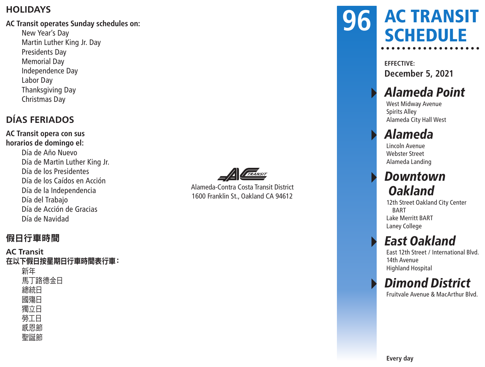#### **HOLIDAYS**

#### **AC Transit operates Sunday schedules on:**

New Year's Day Martin Luther King Jr. Day Presidents Day Memorial Day Independence Day Labor Day Thanksgiving Day Christmas Day

#### **DÍAS FERIADOS**

**AC Transit opera con sus horarios de domingo el:** Día de Año Nuevo Día de Martin Luther King Jr. Día de los Presidentes Día de los Caídos en Acción Día de la Independencia Día del Trabajo Día de Acción de Gracias Día de Navidad



Alameda-Contra Costa Transit District 1600 Franklin St., Oakland CA 94612

#### AC TRANSIT **SCHEDULE 96**

**EFFECTIVE: December 5, 2021**

### Alameda Point

West Midway Avenue Spirits Alley Alameda City Hall West

### ▸ Alameda

Lincoln Avenue Webster Street Alameda Landing

#### **Downtown Oakland**

12th Street Oakland City Center BART Lake Merritt BART Laney College

### **East Oakland**

East 12th Street / International Blvd. 14th Avenue Highland Hospital

### **Dimond District**

Fruitvale Avenue & MacArthur Blvd.

#### 假日行車時間

**AC Transit** 在以下假日按星期日行車時間表行車: 新年 馬丁路德金日 總統日 國殤日 獨立日 勞工日 感恩節 聖誕節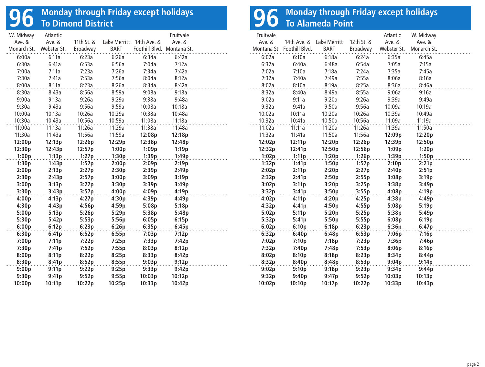# **96 Monday through Friday except holidays To Dimond District**

| W. Midway   | Atlantic    |            |                     |                            | Fruitvale |  |
|-------------|-------------|------------|---------------------|----------------------------|-----------|--|
| Ave. &      | Ave. &      | 11th St. & | <b>Lake Merritt</b> | 14th Ave. &                | Ave. &    |  |
| Monarch St. | Webster St. | Broadway   | <b>BART</b>         | Foothill Blvd. Montana St. |           |  |
| 6:00a       | 6:11a       | 6:23a      | 6:26a               | 6:34a                      | 6:42a     |  |
| 6:30a       | 6:41a       | 6:53a      | 6:56a               | 7:04a                      | 7:12a     |  |
| 7:00a       | 7:11a       | 7:23a      | 7:26a               | 7:34a                      | 7:42a     |  |
| 7:30a       | 7:41a       | 7:53a      | 7:56a               | 8:04a                      | 8:12a     |  |
| 8:00a       | 8:11a       | 8:23a      | 8:26a               | 8:34a                      | 8:42a     |  |
| 8:30a       | 8:43a       | 8:56a      | 8:59a               | 9:08a                      | 9:18a     |  |
| 9:00a       | 9:13a       | 9:26a      | 9:29a               | 9:38a                      | 9:48a     |  |
| 9:30a       | 9:43a       | 9:56a      | 9:59a               | 10:08a                     | 10:18a    |  |
| 10:00a      | 10:13a      | 10:26a     | 10:29a              | 10:38a                     | 10:48a    |  |
| 10:30a      | 10:43a      | 10:56a     | 10:59a              | 11:08a                     | 11:18a    |  |
| 11:00a      | 11:13a      | 11:26a     | 11:29a              | 11:38a                     | 11:48a    |  |
| 11:30a      | 11:43a      | 11:56a     | 11:59a              | 12:08p                     | 12:18p    |  |
| 12:00p      | 12:13p      | 12:26p     | 12:29p              | 12:38p                     | 12:48p    |  |
| 12:30p      | 12:43p      | 12:57p     | 1:00p               | 1:09p                      | 1:19p     |  |
| 1:00p       | 1:13p       | 1:27p      | 1:30p               | 1:39p                      | 1:49p     |  |
| 1:30p       | 1:43p       | 1:57p      | 2:00p               | 2:09p                      | 2:19p     |  |
| 2:00p       | 2:13p       | 2:27p      | 2:30p               | 2:39p                      | 2:49p     |  |
| 2:30p       | 2:43p       | 2:57p      | 3:00p               | 3:09p                      | 3:19p     |  |
| 3:00p       | 3:13p       | 3:27p      | 3:30p               | 3:39p                      | 3:49p     |  |
| 3:30p       | 3:43p       | 3:57p      | 4:00p               | 4:09p                      | 4:19p     |  |
| 4:00p       | 4:13p       | 4:27p      | 4:30p               | 4:39p                      | 4:49p     |  |
| 4:30p       | 4:43p       | 4:56p      | 4:59p               | 5:08p                      | 5:18p     |  |
| 5:00p       | 5:13p       | 5:26p      | 5:29p               | 5:38p                      | 5:48p     |  |
| 5:30p       | 5:42p       | 5:53p      | 5:56p               | 6:05p                      | 6:15p     |  |
| 6:00p       | 6:12p       | 6:23p      | 6:26p               | 6:35p                      | 6:45p     |  |
| 6:30p       | 6:41p       | 6:52p      | 6:55p               | 7:03p                      | 7:12p     |  |
| 7:00p       | 7:11p       | 7:22p      | 7:25p               | 7:33p                      | 7:42p     |  |
| 7:30p       | 7:41p       | 7:52p      | 7:55p               | 8:03p                      | 8:12p     |  |
| 8:00p       | 8:11p       | 8:22p      | 8:25p               | 8:33p                      | 8:42p     |  |
| 8:30p       | 8:41p       | 8:52p      | 8:55p               | 9:03p                      | 9:12p     |  |
| 9:00p       | 9:11p       | 9:22p      | 9:25p               | 9:33p                      | 9:42p     |  |
| 9:30p       | 9:41p       | 9:52p      | 9:55p               | 10:03p                     | 10:12p    |  |
| 10:00p      | 10:11p      | 10:22p     | 10:25p              | 10:33p                     | 10:42p    |  |

# **96 Monday through Friday except holidays To Alameda Point**

| Fruitvale |                            |              |            | Atlantic    | W. Midway   |  |
|-----------|----------------------------|--------------|------------|-------------|-------------|--|
| Ave. &    | 14th Ave. &                | Lake Merritt | 12th St. & | Ave. &      | Ave. &      |  |
|           | Montana St. Foothill Blvd. | <b>BART</b>  | Broadway   | Webster St. | Monarch St. |  |
| 6:02a     | 6:10a                      | 6:18a        | 6:24a      | 6:35a       | 6:45a       |  |
| 6:32a     | 6:40a                      | 6:48a        | 6:54a      | 7:05a       | 7:15a       |  |
| 7:02a     | 7:10a                      | 7:18a        | 7:24a      | 7:35a       | 7:45a       |  |
| 7:32a     | 7:40a                      | 7:49a        | 7:55a      | 8:06a       | 8:16a       |  |
| 8:02a     | 8:10a                      | 8:19a        | 8:25a      | 8:36a       | 8:46a       |  |
| 8:32a     | 8:40a                      | 8:49a        | 8:55a      | 9:06a       | 9:16a       |  |
| 9:02a     | 9:11a                      | 9:20a        | 9:26a      | 9:39a       | 9:49a       |  |
| 9:32a     | 9:41a                      | 9:50a        | 9:56a      | 10:09a      | 10:19a      |  |
| 10:02a    | 10:11a                     | 10:20a       | 10:26a     | 10:39a      | 10:49a      |  |
| 10:32a    | 10:41a                     | 10:50a       | 10:56a     | 11:09a      | 11:19a      |  |
| 11:02a    | 11:11a                     | 11:20a       | 11:26a     | 11:39a      | 11:50a      |  |
| 11:32a    | 11:41a                     | 11:50a       | 11:56a     | 12:09p      | 12:20p      |  |
| 12:02p    | 12:11p                     | 12:20p       | 12:26p     | 12:39p      | 12:50p      |  |
| 12:32p    | 12:41p                     | 12:50p       | 12:56p     | 1:09p       | 1:20p       |  |
| 1:02p     | 1:11p                      | 1:20p        | 1:26p      | 1:39p       | 1:50p       |  |
| 1:32p     | 1:41p                      | 1:50p        | 1:57p      | 2:10p       | 2:21p       |  |
| 2:02p     | 2:11p                      | 2:20p        | 2:27p      | 2:40p       | 2:51p       |  |
| 2:32p     | 2:41p                      | 2:50p        | 2:55p      | 3:08p       | 3:19p       |  |
| 3:02p     | 3:11p                      | 3:20p        | 3:25p      | 3:38p       | 3:49p       |  |
| 3:32p     | 3:41p                      | 3:50p        | 3:55p      | 4:08p       | 4:19p       |  |
| 4:02p     | 4:11p                      | 4:20p        | 4:25p      | 4:38p       | 4:49p       |  |
| 4:32p     | 4:41p                      | 4:50p        | 4:55p      | 5:08p       | 5:19p       |  |
| 5:02p     | 5:11p                      | 5:20p        | 5:25p      | 5:38p       | 5:49p       |  |
| 5:32p     | 5:41p                      | 5:50p        | 5:55p      | 6:08p       | 6:19p       |  |
| 6:02p     | 6:10p                      | 6:18p        | 6:23p      | 6:36p       | 6:47p       |  |
| 6:32p     | 6:40p                      | 6:48p        | 6:53p      | 7:06p       | 7:16p       |  |
| 7:02p     | 7:10p                      | 7:18p        | 7:23p      | 7:36p       | 7:46p       |  |
| 7:32p     | 7:40p                      | 7:48p        | 7:53p      | 8:06p       | 8:16p       |  |
| 8:02p     | 8:10p                      | 8:18p        | 8:23p      | 8:34p       | 8:44p       |  |
| 8:32p     | 8:40p                      | 8:48p        | 8:53p      | 9:04p       | 9:14p       |  |
| 9:02p     | 9:10p                      | 9:18p        | 9:23p      | 9:34p       | 9:44p       |  |
| 9:32p     | 9:40p                      | 9:47p        | 9:52p      | 10:03p      | 10:13p      |  |
| 10:02p    | 10:10p                     | 10:17p       | 10:22p     | 10:33p      | 10:43p      |  |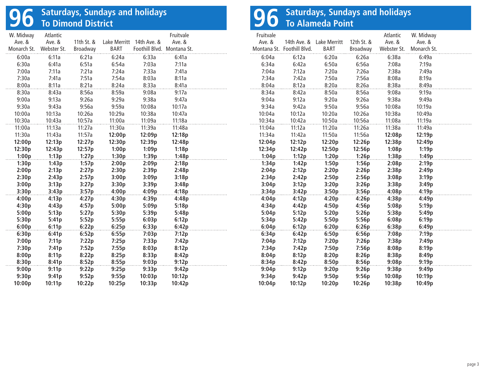# **96 Saturdays, Sundays and holidays To Dimond District**

| W. Midway   | Atlantic    |            |                     |                            | Fruitvale |   |
|-------------|-------------|------------|---------------------|----------------------------|-----------|---|
| Ave. &      | Ave. &      | 11th St. & | <b>Lake Merritt</b> | 14th Ave. &                | Ave. &    |   |
| Monarch St. | Webster St. | Broadway   | <b>BART</b>         | Foothill Blvd. Montana St. |           | Λ |
| 6:00a       | 6:11a       | 6:21a      | 6:24a               | 6:33a                      | 6:41a     |   |
| 6:30a       | 6:41a       | 6:51a      | 6:54a               | 7:03a                      | 7:11a     |   |
| 7:00a       | 7:11a       | 7:21a      | 7:24a               | 7:33a                      | 7:41a     |   |
| 7:30a       | 7:41a       | 7:51a      | 7:54a               | 8:03a                      | 8:11a     |   |
| 8:00a       | 8:11a       | 8:21a      | 8:24a               | 8:33a                      | 8:41a     |   |
| 8:30a       | 8:43a       | 8:56a      | 8:59a               | 9:08a                      | 9:17a     |   |
| 9:00a       | 9:13a       | 9:26a      | 9:29a               | 9:38a                      | 9:47a     |   |
| 9:30a       | 9:43a       | 9:56a      | 9:59a               | 10:08a                     | 10:17a    |   |
| 10:00a      | 10:13a      | 10:26a     | 10:29a              | 10:38a                     | 10:47a    |   |
| 10:30a      | 10:43a      | 10:57a     | 11:00a              | 11:09a                     | 11:18a    |   |
| 11:00a      | 11:13a      | 11:27a     | 11:30a              | 11:39a                     | 11:48a    |   |
| 11:30a      | 11:43a      | 11:57a     | 12:00p              | 12:09p                     | 12:18p    |   |
| 12:00p      | 12:13p      | 12:27p     | 12:30p              | 12:39p                     | 12:48p    |   |
| 12:30p      | 12:43p      | 12:57p     | 1:00p               | 1:09p                      | 1:18p     |   |
| 1:00p       | 1:13p       | 1:27p      | 1:30p               | 1:39p                      | 1:48p     |   |
| 1:30p       | 1:43p       | 1:57p      | 2:00p               | 2:09p                      | 2:18p     |   |
| 2:00p       | 2:13p       | 2:27p      | 2:30p               | 2:39p                      | 2:48p     |   |
| 2:30p       | 2:43p       | 2:57p      | 3:00p               | 3:09p                      | 3:18p     |   |
| 3:00p       | 3:13p       | 3:27p      | 3:30p               | 3:39p                      | 3:48p     |   |
| 3:30p       | 3:43p       | 3:57p      | 4:00p               | 4:09p                      | 4:18p     |   |
| 4:00p       | 4:13p       | 4:27p      | 4:30p               | 4:39p                      | 4:48p     |   |
| 4:30p       | 4:43p       | 4:57p      | 5:00p               | 5:09p                      | 5:18p     |   |
| 5:00p       | 5:13p       | 5:27p      | 5:30p               | 5:39p                      | 5:48p     |   |
| 5:30p       | 5:41p       | 5:52p      | 5:55p               | 6:03p                      | 6:12p     |   |
| 6:00p       | 6:11p       | 6:22p      | 6:25p               | 6:33p                      | 6:42p     |   |
| 6:30p       | 6:41p       | 6:52p      | 6:55p               | 7:03p                      | 7:12p     |   |
| 7:00p       | 7:11p       | 7:22p      | 7:25p               | 7:33p                      | 7:42p     |   |
| 7:30p       | 7:41p       | 7:52p      | 7:55p               | 8:03p                      | 8:12p     |   |
| 8:00p       | 8:11p       | 8:22p      | 8:25p               | 8:33p                      | 8:42p     |   |
| 8:30p       | 8:41p       | 8:52p      | 8:55p               | 9:03p                      | 9:12p     |   |
| 9:00p       | 9:11p       | 9:22p      | 9:25p               | 9:33p                      | 9:42p     |   |
| 9:30p       | 9:41p       | 9:52p      | 9:55p               | 10:03p                     | 10:12p    |   |
| 10:00p      | 10:11p      | 10:22p     | 10:25p              | 10:33p                     | 10:42p    |   |

# **96** Saturdays, Sundays and holidays<br>**96** To Alameda Point

| Fruitvale |                            |                          |            | Atlantic    | W. Midway   |  |
|-----------|----------------------------|--------------------------|------------|-------------|-------------|--|
| Ave. &    |                            | 14th Ave. & Lake Merritt | 12th St. & | Ave. &      | Ave. &      |  |
|           | Montana St. Foothill Blvd. | <b>BART</b>              | Broadway   | Webster St. | Monarch St. |  |
| 6:04a     | 6:12a                      | 6:20a                    | 6:26a      | 6:38a       | 6:49a       |  |
| 6:34a     | 6:42a                      | 6:50a                    | 6:56a      | 7:08a       | 7:19a       |  |
| 7:04a     | 7:12a                      | 7:20a                    | 7:26a      | 7:38a       | 7:49a       |  |
| 7:34a     | 7:42a                      | 7:50a                    | 7:56a      | 8:08a       | 8:19a       |  |
| 8:04a     | 8:12a                      | 8:20a                    | 8:26a      | 8:38a       | 8:49a       |  |
| 8:34a     | 8:42a                      | 8:50a                    | 8:56a      | 9:08a       | 9:19a       |  |
| 9:04a     | 9:12a                      | 9:20a                    | 9:26a      | 9:38a       | 9:49a       |  |
| 9:34a     | 9:42a                      | 9:50a                    | 9:56a      | 10:08a      | 10:19a      |  |
| 10:04a    | 10:12a                     | 10:20a                   | 10:26a     | 10:38a      | 10:49a      |  |
| 10:34a    | 10:42a                     | 10:50a                   | 10:56a     | 11:08a      | 11:19a      |  |
| 11:04a    | 11:12a                     | 11:20a                   | 11:26a     | 11:38a      | 11:49a      |  |
| 11:34a    | 11:42a                     | 11:50a                   | 11:56a     | 12:08p      | 12:19p      |  |
| 12:04p    | 12:12p                     | 12:20p                   | 12:26p     | 12:38p      | 12:49p      |  |
| 12:34p    | 12:42p                     | 12:50p                   | 12:56p     | 1:08p       | 1:19p       |  |
| 1:04p     | 1:12p                      | 1:20p                    | 1:26p      | 1:38p       | 1:49p       |  |
| 1:34p     | 1:42p                      | 1:50p                    | 1:56p      | 2:08p       | 2:19p       |  |
| 2:04p     | 2:12p                      | 2:20p                    | 2:26p      | 2:38p       | 2:49p       |  |
| 2:34p     | 2:42p                      | 2:50p                    | 2:56p      | 3:08p       | 3:19p       |  |
| 3:04p     | 3:12p                      | 3:20p                    | 3:26p      | 3:38p       | 3:49p       |  |
| 3:34p     | 3:42p                      | 3:50p                    | 3:56p      | 4:08p       | 4:19p       |  |
| 4:04p     | 4:12p                      | 4:20p                    | 4:26p      | 4:38p       | 4:49p       |  |
| 4:34p     | 4:42p                      | 4:50p                    | 4:56p      | 5:08p       | 5:19p       |  |
| 5:04p     | 5:12p                      | 5:20p                    | 5:26p      | 5:38p       | 5:49p       |  |
| 5:34p     | 5:42p                      | 5:50p                    | 5:56p      | 6:08p       | 6:19p       |  |
| 6:04p     | 6:12p                      | 6:20p                    | 6:26p      | 6:38p       | 6:49p       |  |
| 6:34p     | 6:42p                      | 6:50p                    | 6:56p      | 7:08p       | 7:19p       |  |
| 7:04p     | 7:12p                      | 7:20p                    | 7:26p      | 7:38p       | 7:49p       |  |
| 7:34p     | 7:42p                      | 7:50p                    | 7:56p      | 8:08p       | 8:19p       |  |
| 8:04p     | 8:12p                      | 8:20p                    | 8:26p      | 8:38p       | 8:49p       |  |
| 8:34p     | 8:42p                      | 8:50p                    | 8:56p      | 9:08p       | 9:19p       |  |
| 9:04p     | 9:12p                      | 9:20p                    | 9:26p      | 9:38p       | 9:49p       |  |
| 9:34p     | 9:42p                      | 9:50p                    | 9:56p      | 10:08p      | 10:19p      |  |
| 10:04p    | 10:12p                     | 10:20p                   | 10:26p     | 10:38p      | 10:49p      |  |